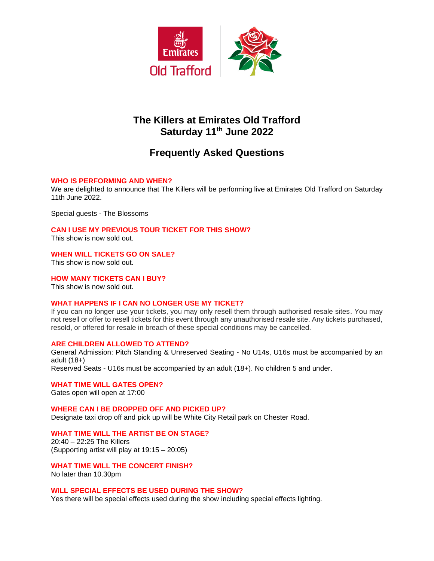

# **The Killers at Emirates Old Trafford Saturday 11 th June 2022**

# **Frequently Asked Questions**

## **WHO IS PERFORMING AND WHEN?**

We are delighted to announce that The Killers will be performing live at Emirates Old Trafford on Saturday 11th June 2022.

Special guests - The Blossoms

**CAN I USE MY PREVIOUS TOUR TICKET FOR THIS SHOW?** This show is now sold out.

**WHEN WILL TICKETS GO ON SALE?**

This show is now sold out.

**HOW MANY TICKETS CAN I BUY?**

This show is now sold out.

## **WHAT HAPPENS IF I CAN NO LONGER USE MY TICKET?**

If you can no longer use your tickets, you may only resell them through authorised resale sites. You may not resell or offer to resell tickets for this event through any unauthorised resale site. Any tickets purchased, resold, or offered for resale in breach of these special conditions may be cancelled.

## **ARE CHILDREN ALLOWED TO ATTEND?**

General Admission: Pitch Standing & Unreserved Seating - No U14s, U16s must be accompanied by an adult (18+)

Reserved Seats - U16s must be accompanied by an adult (18+). No children 5 and under.

**WHAT TIME WILL GATES OPEN?**

Gates open will open at 17:00

## **WHERE CAN I BE DROPPED OFF AND PICKED UP?**

Designate taxi drop off and pick up will be White City Retail park on Chester Road.

**WHAT TIME WILL THE ARTIST BE ON STAGE?** 20:40 – 22:25 The Killers (Supporting artist will play at 19:15 – 20:05)

**WHAT TIME WILL THE CONCERT FINISH?**

No later than 10.30pm

**WILL SPECIAL EFFECTS BE USED DURING THE SHOW?**

Yes there will be special effects used during the show including special effects lighting.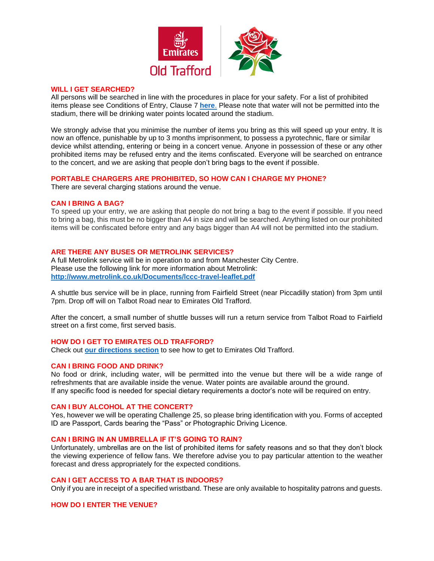

#### **WILL I GET SEARCHED?**

All persons will be searched in line with the procedures in place for your safety. For a list of prohibited items please see Conditions of Entry, Clause 7 **[here](https://cricket.lancashirecricket.co.uk/media/17097/full-ticket-terms-and-conditions-and-conditions-of-entry-2021-v3.pdf)**. Please note that water will not be permitted into the stadium, there will be drinking water points located around the stadium.

We strongly advise that you minimise the number of items you bring as this will speed up your entry. It is now an offence, punishable by up to 3 months imprisonment, to possess a pyrotechnic, flare or similar device whilst attending, entering or being in a concert venue. Anyone in possession of these or any other prohibited items may be refused entry and the items confiscated. Everyone will be searched on entrance to the concert, and we are asking that people don't bring bags to the event if possible.

## **PORTABLE CHARGERS ARE PROHIBITED, SO HOW CAN I CHARGE MY PHONE?**

There are several charging stations around the venue.

#### **CAN I BRING A BAG?**

To speed up your entry, we are asking that people do not bring a bag to the event if possible. If you need to bring a bag, this must be no bigger than A4 in size and will be searched. Anything listed on our prohibited items will be confiscated before entry and any bags bigger than A4 will not be permitted into the stadium.

## **ARE THERE ANY BUSES OR METROLINK SERVICES?**

A full Metrolink service will be in operation to and from Manchester City Centre. Please use the following link for more information about Metrolink: **<http://www.metrolink.co.uk/Documents/lccc-travel-leaflet.pdf>**

A shuttle bus service will be in place, running from Fairfield Street (near Piccadilly station) from 3pm until 7pm. Drop off will on Talbot Road near to Emirates Old Trafford.

After the concert, a small number of shuttle busses will run a return service from Talbot Road to Fairfield street on a first come, first served basis.

#### **HOW DO I GET TO EMIRATES OLD TRAFFORD?**

Check out **[our directions section](http://cricket.lancashirecricket.co.uk/media/7221/lc_how_to_find_us.pdf)** to see how to get to Emirates Old Trafford.

## **CAN I BRING FOOD AND DRINK?**

No food or drink, including water, will be permitted into the venue but there will be a wide range of refreshments that are available inside the venue. Water points are available around the ground. If any specific food is needed for special dietary requirements a doctor's note will be required on entry.

## **CAN I BUY ALCOHOL AT THE CONCERT?**

Yes, however we will be operating Challenge 25, so please bring identification with you. Forms of accepted ID are Passport, Cards bearing the "Pass" or Photographic Driving Licence.

#### **CAN I BRING IN AN UMBRELLA IF IT'S GOING TO RAIN?**

Unfortunately, umbrellas are on the list of prohibited items for safety reasons and so that they don't block the viewing experience of fellow fans. We therefore advise you to pay particular attention to the weather forecast and dress appropriately for the expected conditions.

#### **CAN I GET ACCESS TO A BAR THAT IS INDOORS?**

Only if you are in receipt of a specified wristband. These are only available to hospitality patrons and guests.

## **HOW DO I ENTER THE VENUE?**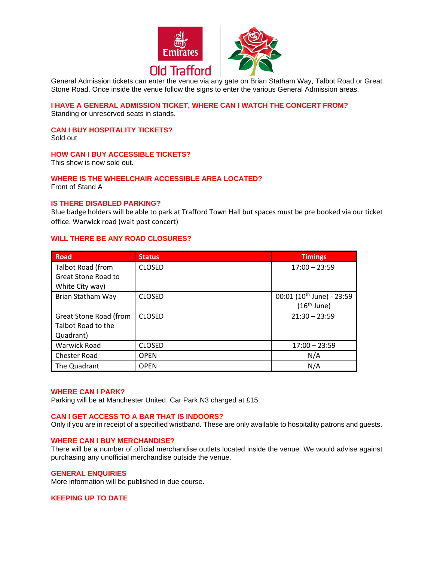

General Admission tickets can enter the venue via any gate on Brian Statham Way, Talbot Road or Great Stone Road. Once inside the venue follow the signs to enter the various General Admission areas.

## **I HAVE A GENERAL ADMISSION TICKET, WHERE CAN I WATCH THE CONCERT FROM?**

Standing or unreserved seats in stands.

## **CAN I BUY HOSPITALITY TICKETS?**

Sold out

## **HOW CAN I BUY ACCESSIBLE TICKETS?**

This show is now sold out.

## **WHERE IS THE WHEELCHAIR ACCESSIBLE AREA LOCATED?**

Front of Stand A

## **IS THERE DISABLED PARKING?**

Blue badge holders will be able to park at Trafford Town Hall but spaces must be pre booked via our ticket office. Warwick road (wait post concert)

## **WILL THERE BE ANY ROAD CLOSURES?**

| <b>Road</b>                | <b>Status</b> | <b>Timings</b>                        |
|----------------------------|---------------|---------------------------------------|
| <b>Talbot Road (from</b>   | <b>CLOSED</b> | $17:00 - 23:59$                       |
| <b>Great Stone Road to</b> |               |                                       |
| White City way)            |               |                                       |
| Brian Statham Way          | <b>CLOSED</b> | 00:01 (10 <sup>th</sup> June) - 23:59 |
|                            |               | $(16th$ June)                         |
| Great Stone Road (from     | <b>CLOSED</b> | $21:30 - 23:59$                       |
| Talbot Road to the         |               |                                       |
| Quadrant)                  |               |                                       |
| <b>Warwick Road</b>        | <b>CLOSED</b> | $17:00 - 23:59$                       |
| <b>Chester Road</b>        | <b>OPEN</b>   | N/A                                   |
| The Quadrant               | <b>OPEN</b>   | N/A                                   |

#### **WHERE CAN I PARK?**

Parking will be at Manchester United, Car Park N3 charged at £15.

## **CAN I GET ACCESS TO A BAR THAT IS INDOORS?**

Only if you are in receipt of a specified wristband. These are only available to hospitality patrons and guests.

## **WHERE CAN I BUY MERCHANDISE?**

There will be a number of official merchandise outlets located inside the venue. We would advise against purchasing any unofficial merchandise outside the venue.

#### **GENERAL ENQUIRIES**

More information will be published in due course.

**KEEPING UP TO DATE**